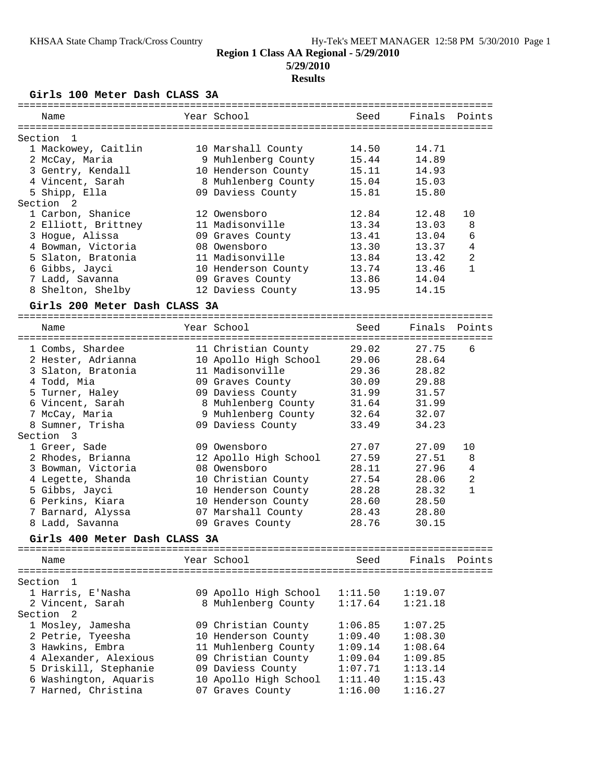# **5/29/2010**

# **Results**

**Girls 100 Meter Dash CLASS 3A**

| Name                               | Year School           | Seed    | Finals  | Points         |
|------------------------------------|-----------------------|---------|---------|----------------|
| Section<br>-1                      |                       |         |         |                |
| 1 Mackowey, Caitlin                | 10 Marshall County    | 14.50   | 14.71   |                |
| 2 McCay, Maria                     | 9 Muhlenberg County   | 15.44   | 14.89   |                |
| 3 Gentry, Kendall                  | 10 Henderson County   | 15.11   | 14.93   |                |
| 4 Vincent, Sarah                   | 8 Muhlenberg County   | 15.04   | 15.03   |                |
| 5 Shipp, Ella                      | 09 Daviess County     | 15.81   | 15.80   |                |
| Section <sub>2</sub>               |                       |         |         |                |
| 1 Carbon, Shanice                  | 12 Owensboro          | 12.84   | 12.48   | 10             |
| 2 Elliott, Brittney                | 11 Madisonville       | 13.34   | 13.03   | 8              |
| 3 Hogue, Alissa                    | 09 Graves County      | 13.41   | 13.04   | 6              |
| 4 Bowman, Victoria                 | 08 Owensboro          | 13.30   | 13.37   | 4              |
| 5 Slaton, Bratonia                 | 11 Madisonville       | 13.84   | 13.42   | 2              |
| 6 Gibbs, Jayci                     | 10 Henderson County   | 13.74   | 13.46   | $\mathbf{1}$   |
| 7 Ladd, Savanna                    | 09 Graves County      | 13.86   | 14.04   |                |
| 8 Shelton, Shelby                  | 12 Daviess County     | 13.95   | 14.15   |                |
| Girls 200 Meter Dash CLASS 3A      |                       |         |         |                |
|                                    |                       |         |         |                |
| Name                               | Year School           | Seed    | Finals  | Points         |
| 1 Combs, Shardee                   | 11 Christian County   | 29.02   | 27.75   | 6              |
| 2 Hester, Adrianna                 | 10 Apollo High School | 29.06   | 28.64   |                |
| 3 Slaton, Bratonia                 | 11 Madisonville       | 29.36   | 28.82   |                |
| 4 Todd, Mia                        | 09 Graves County      | 30.09   | 29.88   |                |
| 5 Turner, Haley                    | 09 Daviess County     | 31.99   | 31.57   |                |
| 6 Vincent, Sarah                   | 8 Muhlenberg County   | 31.64   | 31.99   |                |
| 7 McCay, Maria                     | 9 Muhlenberg County   | 32.64   | 32.07   |                |
| 8 Sumner, Trisha                   | 09 Daviess County     | 33.49   | 34.23   |                |
| Section<br>$\overline{\mathbf{3}}$ |                       |         |         |                |
| 1 Greer, Sade                      | 09 Owensboro          | 27.07   | 27.09   | 10             |
| 2 Rhodes, Brianna                  | 12 Apollo High School | 27.59   | 27.51   | 8              |
| 3 Bowman, Victoria                 | 08 Owensboro          | 28.11   | 27.96   | $\overline{4}$ |
| 4 Legette, Shanda                  | 10 Christian County   | 27.54   | 28.06   | $\overline{2}$ |
| 5 Gibbs, Jayci                     | 10 Henderson County   | 28.28   | 28.32   | $\mathbf{1}$   |
| 6 Perkins, Kiara                   | 10 Henderson County   | 28.60   | 28.50   |                |
| 7 Barnard, Alyssa                  | 07 Marshall County    | 28.43   | 28.80   |                |
| 8 Ladd, Savanna                    | 09 Graves County      | 28.76   | 30.15   |                |
| Girls 400 Meter Dash CLASS 3A      |                       |         |         |                |
|                                    |                       |         |         |                |
| Name                               | Year School           | Seed    | Finals  | Points         |
| Section<br>1                       |                       |         |         |                |
| 1 Harris, E'Nasha                  | 09 Apollo High School | 1:11.50 | 1:19.07 |                |
| 2 Vincent, Sarah                   | 8 Muhlenberg County   | 1:17.64 | 1:21.18 |                |
| Section<br>2                       |                       |         |         |                |
| 1 Mosley, Jamesha                  | 09 Christian County   | 1:06.85 | 1:07.25 |                |
| 2 Petrie, Tyeesha                  | 10 Henderson County   | 1:09.40 | 1:08.30 |                |
| 3 Hawkins, Embra                   | 11 Muhlenberg County  | 1:09.14 | 1:08.64 |                |
| 4 Alexander, Alexious              | 09 Christian County   | 1:09.04 | 1:09.85 |                |
| 5 Driskill, Stephanie              | 09 Daviess County     | 1:07.71 | 1:13.14 |                |
| 6 Washington, Aquaris              | 10 Apollo High School | 1:11.40 | 1:15.43 |                |
| 7 Harned, Christina                | 07 Graves County      | 1:16.00 | 1:16.27 |                |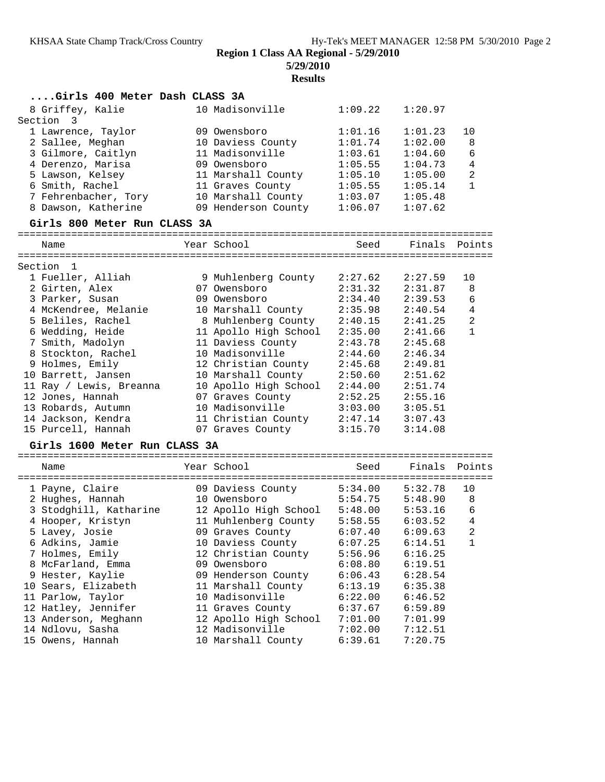**5/29/2010**

**Results**

| Girls 400 Meter Dash CLASS 3A  |                                                       |         |                     |                |
|--------------------------------|-------------------------------------------------------|---------|---------------------|----------------|
| 8 Griffey, Kalie               | 10 Madisonville                                       | 1:09.22 | 1:20.97             |                |
| Section<br>3                   |                                                       |         |                     |                |
| 1 Lawrence, Taylor             | 09 Owensboro                                          | 1:01.16 | 1:01.23             | 10             |
| 2 Sallee, Meghan               | 10 Daviess County                                     | 1:01.74 | 1:02.00             | 8              |
| 3 Gilmore, Caitlyn             | 11 Madisonville                                       | 1:03.61 | 1:04.60             | 6              |
| 4 Derenzo, Marisa              | 09 Owensboro                                          | 1:05.55 | 1:04.73             | $\overline{4}$ |
| 5 Lawson, Kelsey               | 11 Marshall County                                    | 1:05.10 | 1:05.00             | $\overline{a}$ |
| 6 Smith, Rachel                | 11 Graves County                                      | 1:05.55 | 1:05.14             | $\mathbf{1}$   |
| 7 Fehrenbacher, Tory           | 10 Marshall County                                    | 1:03.07 | 1:05.48             |                |
| 8 Dawson, Katherine            | 09 Henderson County                                   | 1:06.07 | 1:07.62             |                |
| Girls 800 Meter Run CLASS 3A   |                                                       |         |                     |                |
| Name                           | Year School                                           | Seed    | Finals              | Points         |
|                                |                                                       |         |                     |                |
| Section 1<br>1 Fueller, Alliah | 9 Muhlenberg County                                   | 2:27.62 | 2:27.59             | 10             |
| 2 Girten, Alex                 | 07 Owensboro                                          | 2:31.32 | 2:31.87             |                |
|                                | 09 Owensboro                                          | 2:34.40 | 2:39.53             | 8              |
| 3 Parker, Susan                |                                                       |         |                     | 6              |
| 4 McKendree, Melanie           | 10 Marshall County                                    | 2:35.98 | 2:40.54             | 4              |
| 5 Beliles, Rachel              | 8 Muhlenberg County                                   | 2:40.15 | 2:41.25             | 2              |
| 6 Wedding, Heide               | 11 Apollo High School                                 | 2:35.00 | 2:41.66             | $\mathbf{1}$   |
| 7 Smith, Madolyn               | 11 Daviess County                                     | 2:43.78 | 2:45.68             |                |
| 8 Stockton, Rachel             | 10 Madisonville                                       | 2:44.60 | 2:46.34             |                |
| 9 Holmes, Emily                | 12 Christian County                                   | 2:45.68 | 2:49.81             |                |
| 10 Barrett, Jansen             | 10 Marshall County                                    | 2:50.60 | 2:51.62             |                |
| 11 Ray / Lewis, Breanna        | 10 Apollo High School                                 | 2:44.00 | 2:51.74             |                |
| 12 Jones, Hannah               | 07 Graves County                                      | 2:52.25 | 2:55.16             |                |
| 13 Robards, Autumn             | 10 Madisonville                                       | 3:03.00 | 3:05.51             |                |
| 14 Jackson, Kendra             | 11 Christian County                                   | 2:47.14 | 3:07.43             |                |
| 15 Purcell, Hannah             | 07 Graves County                                      | 3:15.70 | 3:14.08             |                |
| Girls 1600 Meter Run CLASS 3A  |                                                       |         |                     |                |
| Name                           | Year School                                           | Seed    | Finals              | Points         |
| 1 Payne, Claire                | 09 Daviess County                                     | 5:34.00 | 5:32.78             | 10             |
| 2 Hughes, Hannah               | 10 Owensboro                                          | 5:54.75 | 5:48.90             | 8              |
| 3 Stodghill, Katharine         |                                                       |         | 5:53.16             | 6              |
| 4 Hooper, Kristyn              | 12 Apollo High School 5:48.00<br>11 Muhlenberg County | 5:58.55 | 6:03.52             | $\overline{4}$ |
| 5 Lavey, Josie                 |                                                       |         | $6:07.40$ $6:09.63$ | $\overline{c}$ |
|                                | 09 Graves County                                      |         |                     |                |
| 6 Adkins, Jamie                | 10 Daviess County                                     | 6:07.25 | 6:14.51             | 1              |
| 7 Holmes, Emily                | 12 Christian County                                   | 5:56.96 | 6:16.25             |                |
| 8 McFarland, Emma              | 09 Owensboro                                          | 6:08.80 | 6:19.51             |                |
| 9 Hester, Kaylie               | 09 Henderson County                                   | 6:06.43 | 6:28.54             |                |
| 10 Sears, Elizabeth            | 11 Marshall County                                    | 6:13.19 | 6:35.38             |                |
| 11 Parlow, Taylor              | 10 Madisonville                                       | 6:22.00 | 6:46.52             |                |
| 12 Hatley, Jennifer            | 11 Graves County                                      | 6:37.67 | 6:59.89             |                |
| 13 Anderson, Meghann           | 12 Apollo High School                                 | 7:01.00 | 7:01.99             |                |
| 14 Ndlovu, Sasha               | 12 Madisonville                                       | 7:02.00 | 7:12.51             |                |
| 15 Owens, Hannah               | 10 Marshall County                                    | 6:39.61 | 7:20.75             |                |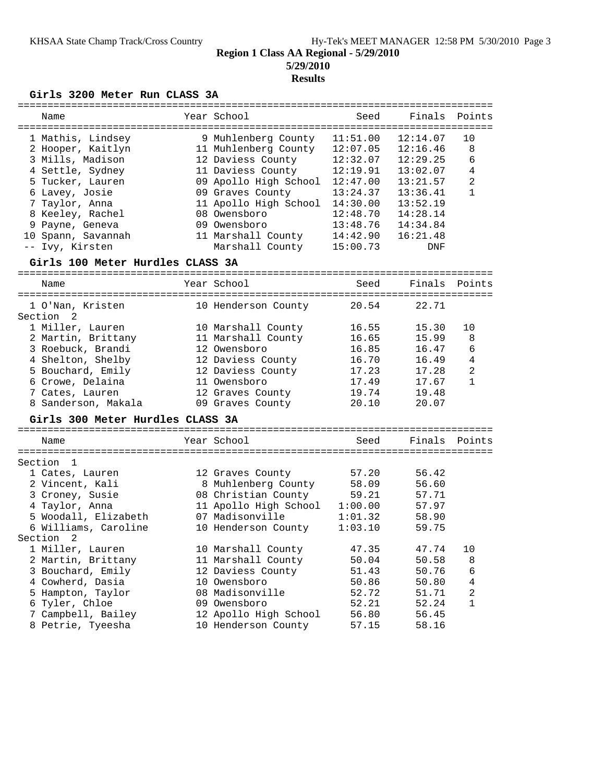# **5/29/2010 Results**

#### **Girls 3200 Meter Run CLASS 3A**

| Name               | Year School           | Seed     | Finals   | Points         |
|--------------------|-----------------------|----------|----------|----------------|
| 1 Mathis, Lindsey  | 9 Muhlenberg County   | 11:51.00 | 12:14.07 | 10             |
| 2 Hooper, Kaitlyn  | 11 Muhlenberg County  | 12:07.05 | 12:16.46 | 8              |
| 3 Mills, Madison   | 12 Daviess County     | 12:32.07 | 12:29.25 | 6              |
| 4 Settle, Sydney   | 11 Daviess County     | 12:19.91 | 13:02.07 | 4              |
| 5 Tucker, Lauren   | 09 Apollo High School | 12:47.00 | 13:21.57 | $\overline{2}$ |
| 6 Lavey, Josie     | 09 Graves County      | 13:24.37 | 13:36.41 | 1              |
| 7 Taylor, Anna     | 11 Apollo High School | 14:30.00 | 13:52.19 |                |
| 8 Keeley, Rachel   | 08 Owensboro          | 12:48.70 | 14:28.14 |                |
| 9 Payne, Geneva    | 09 Owensboro          | 13:48.76 | 14:34.84 |                |
| 10 Spann, Savannah | 11 Marshall County    | 14:42.90 | 16:21.48 |                |
| -- Ivy, Kirsten    | Marshall County       | 15:00.73 | DNF      |                |

#### **Girls 100 Meter Hurdles CLASS 3A**

================================================================================ Name Year School Seed Finals Points ================================================================================ 1 O'Nan, Kristen 10 Henderson County 20.54 22.71 Section 2 1 Miller, Lauren 10 Marshall County 16.55 15.30 10 2 Martin, Brittany 11 Marshall County 16.65 15.99 8 3 Roebuck, Brandi 12 Owensboro 16.85 16.47 6 4 Shelton, Shelby 12 Daviess County 16.70 16.49 4 5 Bouchard, Emily 12 Daviess County 17.23 17.28 2 6 Crowe, Delaina 11 Owensboro 17.49 17.67 1 7 Cates, Lauren 12 Graves County 19.74 19.48 8 Sanderson, Makala 09 Graves County 20.10 20.07 **Girls 300 Meter Hurdles CLASS 3A** ================================================================================ Name Year School Seed Finals Points ================================================================================ Section 1 1 Cates, Lauren 12 Graves County 57.20 56.42 2 Vincent, Kali 8 Muhlenberg County 58.09 56.60 3 Croney, Susie 08 Christian County 59.21 57.71 4 Taylor, Anna 11 Apollo High School 1:00.00 57.97 5 Woodall, Elizabeth 07 Madisonville 1:01.32 58.90 6 Williams, Caroline 10 Henderson County 1:03.10 59.75 Section 2 1 Miller, Lauren 10 Marshall County 47.35 47.74 10 2 Martin, Brittany 11 Marshall County 50.04 50.58 8 3 Bouchard, Emily 12 Daviess County 51.43 50.76 6 4 Cowherd, Dasia 10 Owensboro 50.86 50.80 4 5 Hampton, Taylor 08 Madisonville 52.72 51.71 2 6 Tyler, Chloe 09 Owensboro 52.21 52.24 1 7 Campbell, Bailey 12 Apollo High School 56.80 56.45 8 Petrie, Tyeesha 10 Henderson County 57.15 58.16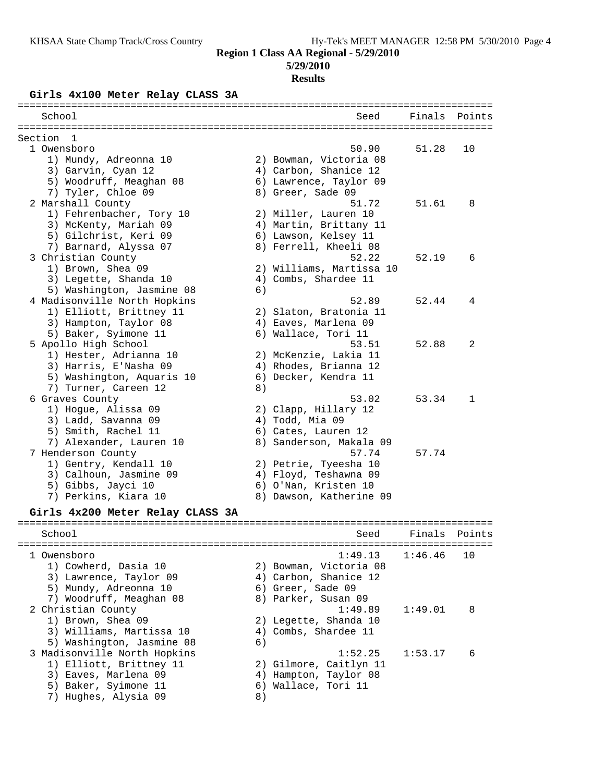# **5/29/2010**

## **Results**

# **Girls 4x100 Meter Relay CLASS 3A**

|                                  |    | ======================          |         |        |
|----------------------------------|----|---------------------------------|---------|--------|
| School                           |    | Seed                            | Finals  | Points |
| Section<br>- 1                   |    |                                 |         |        |
| 1 Owensboro                      |    | 50.90                           | 51.28   | 10     |
| 1) Mundy, Adreonna 10            |    | 2) Bowman, Victoria 08          |         |        |
| 3) Garvin, Cyan 12               |    | 4) Carbon, Shanice 12           |         |        |
| 5) Woodruff, Meaghan 08          |    | 6) Lawrence, Taylor 09          |         |        |
| 7) Tyler, Chloe 09               |    | 8) Greer, Sade 09               |         |        |
| 2 Marshall County                |    | 51.72                           | 51.61   | 8      |
| 1) Fehrenbacher, Tory 10         |    | 2) Miller, Lauren 10            |         |        |
| 3) McKenty, Mariah 09            |    | 4) Martin, Brittany 11          |         |        |
| 5) Gilchrist, Keri 09            |    | 6) Lawson, Kelsey 11            |         |        |
| 7) Barnard, Alyssa 07            |    | 8) Ferrell, Kheeli 08           |         |        |
| 3 Christian County               |    | 52.22                           | 52.19   | 6      |
| 1) Brown, Shea 09                |    | 2) Williams, Martissa 10        |         |        |
| 3) Legette, Shanda 10            |    | 4) Combs, Shardee 11            |         |        |
| 5) Washington, Jasmine 08        | 6) |                                 |         |        |
| 4 Madisonville North Hopkins     |    | 52.89                           | 52.44   | 4      |
| 1) Elliott, Brittney 11          |    | 2) Slaton, Bratonia 11          |         |        |
| 3) Hampton, Taylor 08            |    | 4) Eaves, Marlena 09            |         |        |
| 5) Baker, Syimone 11             |    | 6) Wallace, Tori 11             |         |        |
| 5 Apollo High School             |    | 53.51                           | 52.88   | 2      |
| 1) Hester, Adrianna 10           |    | 2) McKenzie, Lakia 11           |         |        |
| 3) Harris, E'Nasha 09            |    | 4) Rhodes, Brianna 12           |         |        |
| 5) Washington, Aquaris 10        |    | 6) Decker, Kendra 11            |         |        |
| 7) Turner, Careen 12             | 8) |                                 |         |        |
| 6 Graves County                  |    | 53.02                           | 53.34   | 1      |
| 1) Hogue, Alissa 09              |    | 2) Clapp, Hillary 12            |         |        |
| 3) Ladd, Savanna 09              |    | 4) Todd, Mia 09                 |         |        |
| 5) Smith, Rachel 11              |    | 6) Cates, Lauren 12             |         |        |
| 7) Alexander, Lauren 10          |    | 8) Sanderson, Makala 09         |         |        |
| 7 Henderson County               |    | 57.74                           | 57.74   |        |
| 1) Gentry, Kendall 10            |    | 2) Petrie, Tyeesha 10           |         |        |
| 3) Calhoun, Jasmine 09           |    | 4) Floyd, Teshawna 09           |         |        |
| 5) Gibbs, Jayci 10               |    | 6) O'Nan, Kristen 10            |         |        |
| 7) Perkins, Kiara 10             |    | 8) Dawson, Katherine 09         |         |        |
|                                  |    |                                 |         |        |
| Girls 4x200 Meter Relay CLASS 3A |    | ------------------------------- |         |        |
| School                           |    | Seed                            | Finals  | Points |
|                                  |    |                                 |         |        |
| 1 Owensboro                      |    | 1:49.13                         | 1:46.46 | 10     |
| 1) Cowherd, Dasia 10             |    | 2) Bowman, Victoria 08          |         |        |
| 3) Lawrence, Taylor 09           |    | 4) Carbon, Shanice 12           |         |        |
| 5) Mundy, Adreonna 10            |    | 6) Greer, Sade 09               |         |        |
| 7) Woodruff, Meaghan 08          |    | 8) Parker, Susan 09             |         |        |
| 2 Christian County               |    | 1:49.89                         | 1:49.01 | 8      |
| 1) Brown, Shea 09                |    | 2) Legette, Shanda 10           |         |        |
| 3) Williams, Martissa 10         |    | 4) Combs, Shardee 11            |         |        |
| 5) Washington, Jasmine 08        | 6) |                                 |         |        |
| 3 Madisonville North Hopkins     |    | 1:52.25                         | 1:53.17 | 6      |
| 1) Elliott, Brittney 11          |    | 2) Gilmore, Caitlyn 11          |         |        |
| 3) Eaves, Marlena 09             |    | 4) Hampton, Taylor 08           |         |        |
| 5) Baker, Syimone 11             |    | 6) Wallace, Tori 11             |         |        |
| 7) Hughes, Alysia 09             | 8) |                                 |         |        |
|                                  |    |                                 |         |        |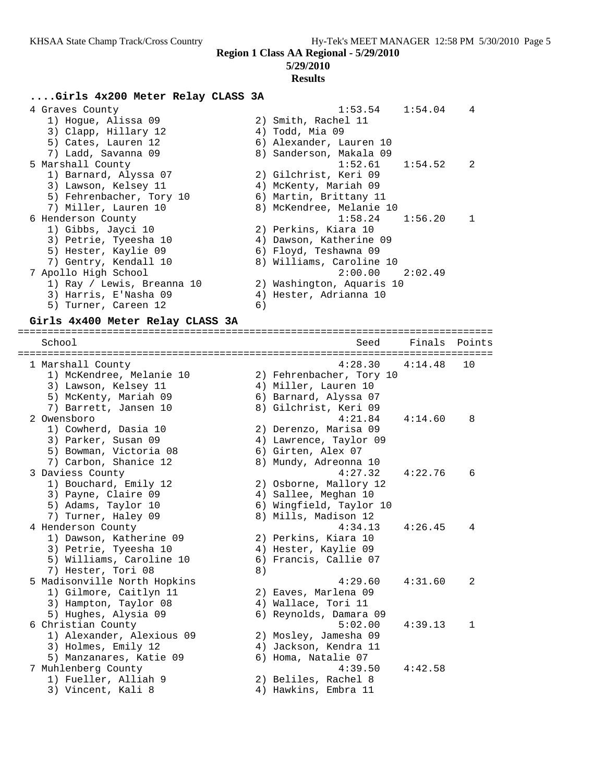#### **5/29/2010**

#### **Results**

### **....Girls 4x200 Meter Relay CLASS 3A**

| 4 Graves County            | 1:53.54<br>1:54.04<br>4   |
|----------------------------|---------------------------|
| 1) Hoque, Alissa 09        | 2) Smith, Rachel 11       |
| 3) Clapp, Hillary 12       | 4) Todd, Mia 09           |
| 5) Cates, Lauren 12        | 6) Alexander, Lauren 10   |
| 7) Ladd, Savanna 09        | 8) Sanderson, Makala 09   |
| 5 Marshall County          | 1:52.61<br>$1:54.52$ 2    |
| 1) Barnard, Alyssa 07      | 2) Gilchrist, Keri 09     |
| 3) Lawson, Kelsey 11       | 4) McKenty, Mariah 09     |
| 5) Fehrenbacher, Tory 10   | 6) Martin, Brittany 11    |
| 7) Miller, Lauren 10       | 8) McKendree, Melanie 10  |
| 6 Henderson County         | $1:58.24$ $1:56.20$       |
| 1) Gibbs, Jayci 10         | 2) Perkins, Kiara 10      |
| 3) Petrie, Tyeesha 10      | 4) Dawson, Katherine 09   |
| 5) Hester, Kaylie 09       | 6) Floyd, Teshawna 09     |
| 7) Gentry, Kendall 10      | 8) Williams, Caroline 10  |
| 7 Apollo High School       | $2:00.00$ $2:02.49$       |
| 1) Ray / Lewis, Breanna 10 | 2) Washington, Aquaris 10 |
| 3) Harris, E'Nasha 09      | 4) Hester, Adrianna 10    |
| 5) Turner, Careen 12       | 6)                        |

### **Girls 4x400 Meter Relay CLASS 3A**

================================================================================ School Seed Finals Points ================================================================================ 1 Marshall County 4:28.30 4:14.48 10 1) McKendree, Melanie 10 2) Fehrenbacher, Tory 10 3) Lawson, Kelsey 11 (4) Miller, Lauren 10 5) McKenty, Mariah 09 6) Barnard, Alyssa 07 7) Barrett, Jansen 10 8) Gilchrist, Keri 09 2 Owensboro 4:21.84 4:14.60 8 1) Cowherd, Dasia 10 2) Derenzo, Marisa 09 3) Parker, Susan 09 4) Lawrence, Taylor 09 5) Bowman, Victoria 08 6) Girten, Alex 07 7) Carbon, Shanice 12 8) Mundy, Adreonna 10 3 Daviess County 4:27.32 4:22.76 6 1) Bouchard, Emily 12 2) Osborne, Mallory 12 3) Payne, Claire 09 4) Sallee, Meghan 10 5) Adams, Taylor 10 6) Wingfield, Taylor 10 7) Turner, Haley 09 8) Mills, Madison 12 4 Henderson County 4:34.13 4:26.45 4 1) Dawson, Katherine 09 2) Perkins, Kiara 10 3) Petrie, Tyeesha 10  $\hphantom{\text{2.65}$  4) Hester, Kaylie 09 5) Williams, Caroline 10 6) Francis, Callie 07 7) Hester, Tori 08 (8) 5 Madisonville North Hopkins 4:29.60 4:31.60 2 1) Gilmore, Caitlyn 11 (2) Eaves, Marlena 09 3) Hampton, Taylor 08 4) Wallace, Tori 11 5) Hughes, Alysia 09 6) Reynolds, Damara 09 6 Christian County 5:02.00 4:39.13 1 1) Alexander, Alexious 09 2) Mosley, Jamesha 09 3) Holmes, Emily 12 4) Jackson, Kendra 11 5) Manzanares, Katie 09 6) Homa, Natalie 07 7 Muhlenberg County 4:39.50 4:42.58 1) Fueller, Alliah 9 2) Beliles, Rachel 8 3) Vincent, Kali 8 4) Hawkins, Embra 11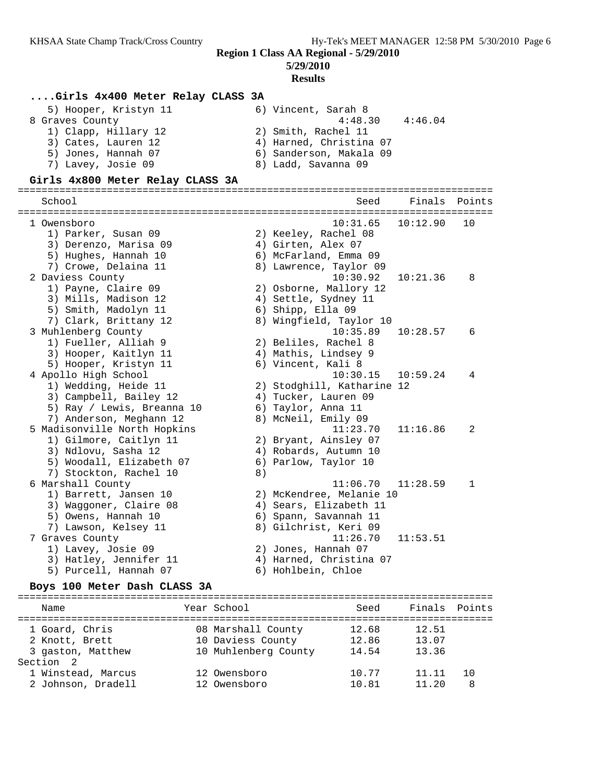**5/29/2010**

## **Results**

## **....Girls 4x400 Meter Relay CLASS 3A**

| 5) Hooper, Kristyn 11 | 6) Vincent, Sarah 8     |
|-----------------------|-------------------------|
| 8 Graves County       | 4:48.30<br>4:46.04      |
| 1) Clapp, Hillary 12  | 2) Smith, Rachel 11     |
| 3) Cates, Lauren 12   | 4) Harned, Christina 07 |
| 5) Jones, Hannah 07   | 6) Sanderson, Makala 09 |
| 7) Lavey, Josie 09    | 8) Ladd, Savanna 09     |

## **Girls 4x800 Meter Relay CLASS 3A**

#### ================================================================================ Seed Finals Points

| ================             |    |                            |          |    |
|------------------------------|----|----------------------------|----------|----|
| 1 Owensboro                  |    | 10:31.65                   | 10:12.90 | 10 |
| 1) Parker, Susan 09          |    | 2) Keeley, Rachel 08       |          |    |
| 3) Derenzo, Marisa 09        |    | 4) Girten, Alex 07         |          |    |
| 5) Hughes, Hannah 10         |    | 6) McFarland, Emma 09      |          |    |
| 7) Crowe, Delaina 11         |    | 8) Lawrence, Taylor 09     |          |    |
| 2 Daviess County             |    | 10:30.92                   | 10:21.36 | 8  |
| 1) Payne, Claire 09          |    | 2) Osborne, Mallory 12     |          |    |
| 3) Mills, Madison 12         |    | 4) Settle, Sydney 11       |          |    |
| 5) Smith, Madolyn 11         |    | 6) Shipp, Ella 09          |          |    |
| 7) Clark, Brittany 12        |    | 8) Wingfield, Taylor 10    |          |    |
| 3 Muhlenberg County          |    | 10:35.89                   | 10:28.57 | 6  |
| 1) Fueller, Alliah 9         |    | 2) Beliles, Rachel 8       |          |    |
| 3) Hooper, Kaitlyn 11        |    | 4) Mathis, Lindsey 9       |          |    |
| 5) Hooper, Kristyn 11        |    | 6) Vincent, Kali 8         |          |    |
| 4 Apollo High School         |    | 10:30.15                   | 10:59.24 | 4  |
| 1) Wedding, Heide 11         |    | 2) Stodghill, Katharine 12 |          |    |
| 3) Campbell, Bailey 12       |    | 4) Tucker, Lauren 09       |          |    |
| 5) Ray / Lewis, Breanna 10   |    | 6) Taylor, Anna 11         |          |    |
| 7) Anderson, Meghann 12      |    | 8) McNeil, Emily 09        |          |    |
| 5 Madisonville North Hopkins |    | 11:23.70                   | 11:16.86 | 2  |
| 1) Gilmore, Caitlyn 11       |    | 2) Bryant, Ainsley 07      |          |    |
| 3) Ndlovu, Sasha 12          |    | 4) Robards, Autumn 10      |          |    |
| 5) Woodall, Elizabeth 07     |    | 6) Parlow, Taylor 10       |          |    |
| 7) Stockton, Rachel 10       | 8) |                            |          |    |
| 6 Marshall County            |    | 11:06.70                   | 11:28.59 | 1  |
| 1) Barrett, Jansen 10        |    | 2) McKendree, Melanie 10   |          |    |
| 3) Waggoner, Claire 08       |    | 4) Sears, Elizabeth 11     |          |    |
| 5) Owens, Hannah 10          |    | 6) Spann, Savannah 11      |          |    |
| 7) Lawson, Kelsey 11         |    | 8) Gilchrist, Keri 09      |          |    |
| 7 Graves County              |    | 11:26.70                   | 11:53.51 |    |
| 1) Lavey, Josie 09           |    | 2) Jones, Hannah 07        |          |    |
| 3) Hatley, Jennifer 11       |    | 4) Harned, Christina 07    |          |    |
| 5) Purcell, Hannah 07        |    | 6) Hohlbein, Chloe         |          |    |
|                              |    |                            |          |    |

#### **Boys 100 Meter Dash CLASS 3A**

| Name                                                  | Year School                                                     | Seed                    | Finals Points           |   |
|-------------------------------------------------------|-----------------------------------------------------------------|-------------------------|-------------------------|---|
| 1 Goard, Chris<br>2 Knott, Brett<br>3 gaston, Matthew | 08 Marshall County<br>10 Daviess County<br>10 Muhlenberg County | 12.68<br>12.86<br>14.54 | 12.51<br>13.07<br>13.36 |   |
| Section 2                                             |                                                                 |                         |                         |   |
| 1 Winstead, Marcus                                    | 12 Owensboro                                                    | 10.77                   | 11.11                   |   |
| 2 Johnson, Dradell                                    | 12 Owensboro                                                    | 10.81                   | 11.20                   | 8 |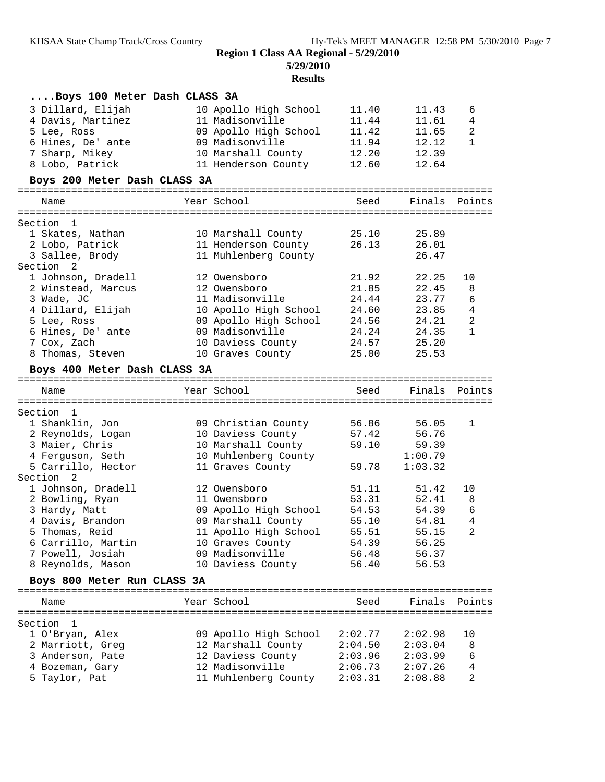**5/29/2010**

# **Results**

| Boys 100 Meter Dash CLASS 3A     |                                         |                    |                    |                |
|----------------------------------|-----------------------------------------|--------------------|--------------------|----------------|
| 3 Dillard, Elijah                | 10 Apollo High School                   | 11.40              | 11.43              | 6              |
| 4 Davis, Martinez                | 11 Madisonville                         | 11.44              | 11.61              | 4              |
| 5 Lee, Ross                      | 09 Apollo High School                   | 11.42              | 11.65              | 2              |
| 6 Hines, De' ante                | 09 Madisonville                         | 11.94              | 12.12              | $\mathbf{1}$   |
| 7 Sharp, Mikey                   | 10 Marshall County                      | 12.20              | 12.39              |                |
| 8 Lobo, Patrick                  | 11 Henderson County                     | 12.60              | 12.64              |                |
| Boys 200 Meter Dash CLASS 3A     |                                         |                    |                    |                |
|                                  |                                         |                    |                    |                |
| Name                             | Year School                             | Seed               | Finals             | Points         |
| Section 1                        |                                         |                    |                    |                |
| 1 Skates, Nathan                 | 10 Marshall County                      | 25.10              | 25.89              |                |
| 2 Lobo, Patrick                  | 11 Henderson County                     | 26.13              | 26.01              |                |
| 3 Sallee, Brody                  | 11 Muhlenberg County                    |                    | 26.47              |                |
| Section 2                        |                                         |                    |                    |                |
| 1 Johnson, Dradell               | 12 Owensboro                            | 21.92              | 22.25              | 10             |
| 2 Winstead, Marcus               | 12 Owensboro                            | 21.85              | 22.45              | 8              |
| 3 Wade, JC                       | 11 Madisonville                         | 24.44              | 23.77              | $\epsilon$     |
| 4 Dillard, Elijah                | 10 Apollo High School                   | 24.60              | 23.85              | 4              |
|                                  | 09 Apollo High School                   |                    | 24.21              | $\mathbf{2}$   |
| 5 Lee, Ross                      |                                         | 24.56              |                    |                |
| 6 Hines, De' ante                | 09 Madisonville                         | 24.24              | 24.35              | $\mathbf{1}$   |
| 7 Cox, Zach                      | 10 Daviess County                       | 24.57              | 25.20              |                |
| 8 Thomas, Steven                 | 10 Graves County                        | 25.00              | 25.53              |                |
| Boys 400 Meter Dash CLASS 3A     |                                         |                    |                    |                |
| Name                             | Year School                             | Seed               | Finals             | Points         |
|                                  |                                         |                    |                    |                |
|                                  |                                         |                    |                    |                |
| Section 1                        |                                         |                    |                    |                |
| 1 Shanklin, Jon                  | 09 Christian County                     | 56.86              | 56.05              | $\mathbf 1$    |
| 2 Reynolds, Logan                | 10 Daviess County                       | 57.42              | 56.76              |                |
| 3 Maier, Chris                   | 10 Marshall County                      | 59.10              | 59.39              |                |
| 4 Ferguson, Seth                 | 10 Muhlenberg County                    |                    | 1:00.79            |                |
| 5 Carrillo, Hector               | 11 Graves County                        | 59.78              | 1:03.32            |                |
| Section 2                        |                                         |                    |                    |                |
| 1 Johnson, Dradell               | 12 Owensboro                            | 51.11              | 51.42              | 10             |
| 2 Bowling, Ryan                  | 11 Owensboro                            | 53.31              | 52.41              | 8              |
| 3 Hardy, Matt                    | 09 Apollo High School                   | 54.53              | 54.39              | 6              |
| 4 Davis, Brandon                 | 09 Marshall County                      | 55.10              | 54.81              | 4              |
| 5 Thomas, Reid                   | 11 Apollo High School                   | 55.51              | 55.15              | $\overline{2}$ |
| 6 Carrillo, Martin               | 10 Graves County                        | 54.39              | 56.25              |                |
| 7 Powell, Josiah                 | 09 Madisonville                         | 56.48              | 56.37              |                |
| 8 Reynolds, Mason                | 10 Daviess County                       | 56.40              | 56.53              |                |
| Boys 800 Meter Run CLASS 3A      |                                         |                    |                    |                |
|                                  |                                         |                    |                    |                |
| Name                             | Year School                             | Seed               | Finals Points      |                |
|                                  |                                         |                    |                    |                |
| Section 1                        |                                         |                    |                    |                |
| 1 O'Bryan, Alex                  | 09 Apollo High School                   | 2:02.77            | 2:02.98            | 10             |
| 2 Marriott, Greg                 | 12 Marshall County                      | 2:04.50            | 2:03.04            | 8              |
| 3 Anderson, Pate                 | 12 Daviess County                       | 2:03.96            | 2:03.99            | 6              |
| 4 Bozeman, Gary<br>5 Taylor, Pat | 12 Madisonville<br>11 Muhlenberg County | 2:06.73<br>2:03.31 | 2:07.26<br>2:08.88 | 4<br>2         |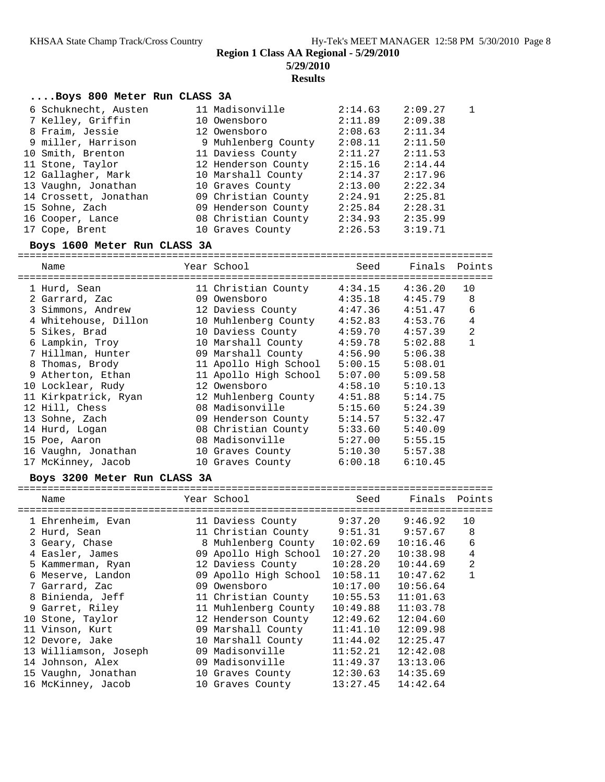**5/29/2010**

**Results**

#### **....Boys 800 Meter Run CLASS 3A**

| 6 Schuknecht, Austen  | 11 Madisonville     | 2:14.63 | 2:09.27 | 1 |
|-----------------------|---------------------|---------|---------|---|
| 7 Kelley, Griffin     | 10 Owensboro        | 2:11.89 | 2:09.38 |   |
| 8 Fraim, Jessie       | 12 Owensboro        | 2:08.63 | 2:11.34 |   |
| 9 miller, Harrison    | 9 Muhlenberg County | 2:08.11 | 2:11.50 |   |
| 10 Smith, Brenton     | 11 Daviess County   | 2:11.27 | 2:11.53 |   |
| 11 Stone, Taylor      | 12 Henderson County | 2:15.16 | 2:14.44 |   |
| 12 Gallagher, Mark    | 10 Marshall County  | 2:14.37 | 2:17.96 |   |
| 13 Vaughn, Jonathan   | 10 Graves County    | 2:13.00 | 2:22.34 |   |
| 14 Crossett, Jonathan | 09 Christian County | 2:24.91 | 2:25.81 |   |
| 15 Sohne, Zach        | 09 Henderson County | 2:25.84 | 2:28.31 |   |
| 16 Cooper, Lance      | 08 Christian County | 2:34.93 | 2:35.99 |   |
| 17 Cope, Brent        | 10 Graves County    | 2:26.53 | 3:19.71 |   |

## **Boys 1600 Meter Run CLASS 3A**

================================================================================ Name The Year School Seed Finals Points ================================================================================ 1 Hurd, Sean 11 Christian County 4:34.15 4:36.20 10 2 Garrard, Zac 09 Owensboro 4:35.18 4:45.79 8 3 Simmons, Andrew 12 Daviess County 4:47.36 4:51.47 6 4 Whitehouse, Dillon 10 Muhlenberg County 4:52.83 4:53.76 4 5 Sikes, Brad 10 Daviess County 4:59.70 4:57.39 2 6 Lampkin, Troy 10 Marshall County 4:59.78 5:02.88 1 7 Hillman, Hunter 09 Marshall County 4:56.90 5:06.38 8 Thomas, Brody 11 Apollo High School 5:00.15 5:08.01 9 Atherton, Ethan 11 Apollo High School 5:07.00 5:09.58 10 Locklear, Rudy 12 Owensboro 4:58.10 5:10.13 11 Kirkpatrick, Ryan 12 Muhlenberg County 4:51.88 5:14.75 12 Hill, Chess 08 Madisonville 5:15.60 5:24.39 13 Sohne, Zach 09 Henderson County 5:14.57 5:32.47 14 Hurd, Logan 08 Christian County 5:33.60 5:40.09 15 Poe, Aaron 08 Madisonville 5:27.00 5:55.15 16 Vaughn, Jonathan 10 Graves County 5:10.30 5:57.38 17 McKinney, Jacob 10 Graves County 6:00.18 6:10.45

#### **Boys 3200 Meter Run CLASS 3A**

| Name                  | Year School                 | Seed     | Finals Points |                |
|-----------------------|-----------------------------|----------|---------------|----------------|
| 1 Ehrenheim, Evan     | 11 Daviess County           | 9:37.20  | 9:46.92       | 10             |
| 2 Hurd, Sean          | 11 Christian County 9:51.31 |          | 9:57.67       | 8              |
| 3 Geary, Chase        | 8 Muhlenberg County         | 10:02.69 | 10:16.46      | 6              |
| 4 Easler, James       | 09 Apollo High School       | 10:27.20 | 10:38.98      | 4              |
| 5 Kammerman, Ryan     | 12 Daviess County           | 10:28.20 | 10:44.69      | $\overline{2}$ |
| 6 Meserve, Landon     | 09 Apollo High School       | 10:58.11 | 10:47.62      |                |
| 7 Garrard, Zac        | 09 Owensboro                | 10:17.00 | 10:56.64      |                |
| 8 Binienda, Jeff      | 11 Christian County         | 10:55.53 | 11:01.63      |                |
| 9 Garret, Riley       | 11 Muhlenberg County        | 10:49.88 | 11:03.78      |                |
| 10 Stone, Taylor      | 12 Henderson County         | 12:49.62 | 12:04.60      |                |
| 11 Vinson, Kurt       | 09 Marshall County          | 11:41.10 | 12:09.98      |                |
| 12 Devore, Jake       | 10 Marshall County          | 11:44.02 | 12:25.47      |                |
| 13 Williamson, Joseph | 09 Madisonville             | 11:52.21 | 12:42.08      |                |
| 14 Johnson, Alex      | 09 Madisonville             | 11:49.37 | 13:13.06      |                |
| 15 Vaughn, Jonathan   | 10 Graves County            | 12:30.63 | 14:35.69      |                |
| 16 McKinney, Jacob    | 10 Graves County            | 13:27.45 | 14:42.64      |                |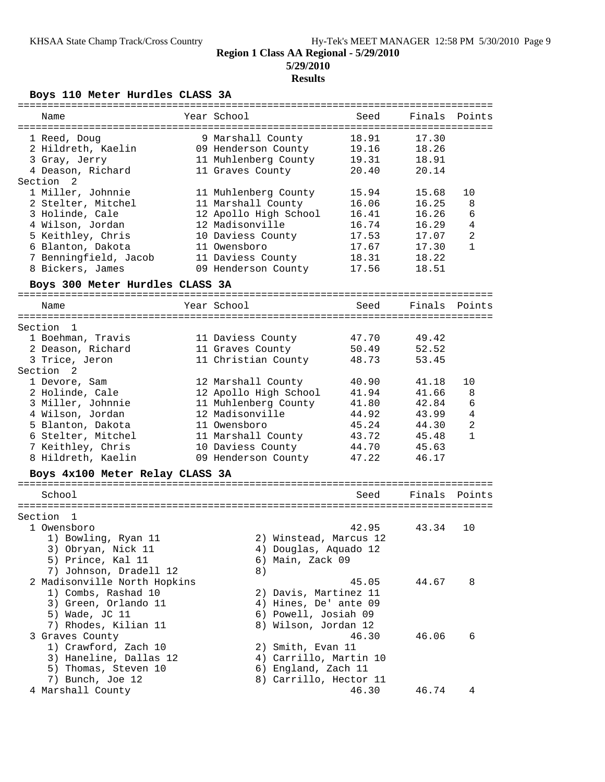# **Region 1 Class AA Regional - 5/29/2010 5/29/2010**

## **Results**

**Boys 110 Meter Hurdles CLASS 3A**

| Name                                                                                                                                                                                                                                                      | Year School                                                                                                                                                                                                                              | Seed                                                                                            | Finals                                                                                          | Points                                              |
|-----------------------------------------------------------------------------------------------------------------------------------------------------------------------------------------------------------------------------------------------------------|------------------------------------------------------------------------------------------------------------------------------------------------------------------------------------------------------------------------------------------|-------------------------------------------------------------------------------------------------|-------------------------------------------------------------------------------------------------|-----------------------------------------------------|
| 1 Reed, Doug<br>2 Hildreth, Kaelin<br>3 Gray, Jerry<br>4 Deason, Richard                                                                                                                                                                                  | 9 Marshall County<br>09 Henderson County<br>11 Muhlenberg County<br>11 Graves County                                                                                                                                                     | 18.91<br>19.16<br>19.31<br>20.40                                                                | 17.30<br>18.26<br>18.91<br>20.14                                                                |                                                     |
| Section<br>-2<br>1 Miller, Johnnie<br>2 Stelter, Mitchel<br>3 Holinde, Cale<br>4 Wilson, Jordan                                                                                                                                                           | 11 Muhlenberg County<br>11 Marshall County<br>12 Apollo High School<br>12 Madisonville                                                                                                                                                   | 15.94<br>16.06<br>16.41<br>16.74                                                                | 15.68<br>16.25<br>16.26<br>16.29                                                                | 10<br>8<br>6<br>4                                   |
| 5 Keithley, Chris<br>6 Blanton, Dakota<br>7 Benningfield, Jacob<br>8 Bickers, James<br>Boys 300 Meter Hurdles CLASS 3A                                                                                                                                    | 10 Daviess County<br>11 Owensboro<br>11 Daviess County<br>09 Henderson County                                                                                                                                                            | 17.53<br>17.67<br>18.31<br>17.56                                                                | 17.07<br>17.30<br>18.22<br>18.51                                                                | $\overline{2}$<br>1                                 |
| Name                                                                                                                                                                                                                                                      | Year School                                                                                                                                                                                                                              | Seed                                                                                            | Finals                                                                                          | Points                                              |
|                                                                                                                                                                                                                                                           |                                                                                                                                                                                                                                          |                                                                                                 |                                                                                                 |                                                     |
| Section<br>-1<br>1 Boehman, Travis<br>2 Deason, Richard<br>3 Trice, Jeron<br>Section 2<br>1 Devore, Sam<br>2 Holinde, Cale<br>3 Miller, Johnnie<br>4 Wilson, Jordan<br>5 Blanton, Dakota<br>6 Stelter, Mitchel<br>7 Keithley, Chris<br>8 Hildreth, Kaelin | 11 Daviess County<br>11 Graves County<br>11 Christian County<br>12 Marshall County<br>12 Apollo High School<br>11 Muhlenberg County<br>12 Madisonville<br>11 Owensboro<br>11 Marshall County<br>10 Daviess County<br>09 Henderson County | 47.70<br>50.49<br>48.73<br>40.90<br>41.94<br>41.80<br>44.92<br>45.24<br>43.72<br>44.70<br>47.22 | 49.42<br>52.52<br>53.45<br>41.18<br>41.66<br>42.84<br>43.99<br>44.30<br>45.48<br>45.63<br>46.17 | 10<br>8<br>6<br>$\overline{4}$<br>$\mathbf{2}$<br>1 |
| Boys 4x100 Meter Relay CLASS 3A                                                                                                                                                                                                                           |                                                                                                                                                                                                                                          |                                                                                                 |                                                                                                 |                                                     |
| School                                                                                                                                                                                                                                                    |                                                                                                                                                                                                                                          | Seed                                                                                            | Finals                                                                                          | Points                                              |
| Section<br>-1<br>1 Owensboro<br>1) Bowling, Ryan 11<br>3) Obryan, Nick 11<br>5) Prince, Kal 11<br>7) Johnson, Dradell 12                                                                                                                                  | 2) Winstead, Marcus 12<br>4) Douglas, Aquado 12<br>6) Main, Zack 09<br>8)                                                                                                                                                                | 42.95                                                                                           | 43.34                                                                                           | 10                                                  |
| 2 Madisonville North Hopkins<br>1) Combs, Rashad 10<br>3) Green, Orlando 11<br>5) Wade, JC 11<br>7) Rhodes, Kilian 11                                                                                                                                     | 2) Davis, Martinez 11<br>4) Hines, De' ante 09<br>6) Powell, Josiah 09<br>8) Wilson, Jordan 12                                                                                                                                           | 45.05                                                                                           | 44.67                                                                                           | 8                                                   |
| 3 Graves County<br>1) Crawford, Zach 10<br>3) Haneline, Dallas 12<br>5) Thomas, Steven 10<br>7) Bunch, Joe 12                                                                                                                                             | 2) Smith, Evan 11<br>4) Carrillo, Martin 10<br>6) England, Zach 11<br>8) Carrillo, Hector 11                                                                                                                                             | 46.30                                                                                           | 46.06                                                                                           | 6                                                   |
| 4 Marshall County                                                                                                                                                                                                                                         |                                                                                                                                                                                                                                          | 46.30                                                                                           | 46.74                                                                                           | 4                                                   |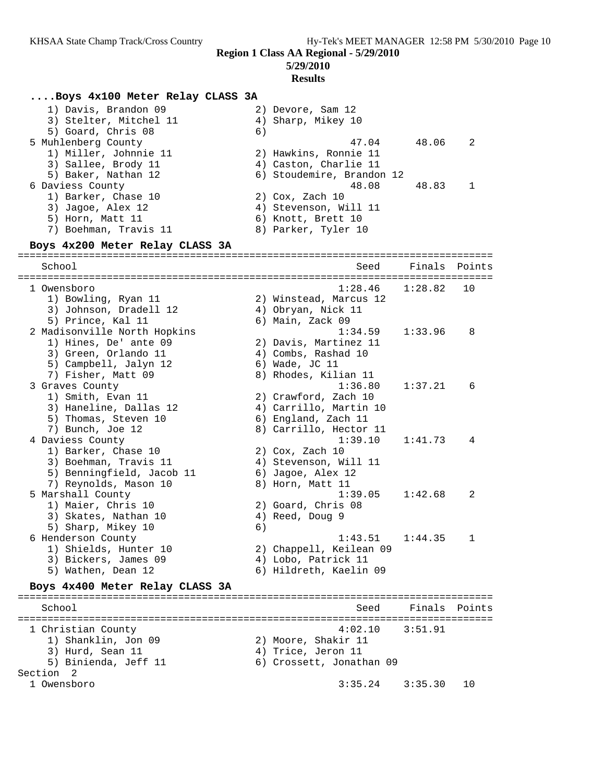# **Results**

## **....Boys 4x100 Meter Relay CLASS 3A**

| 1) Davis, Brandon 09   | 2) Devore, Sam 12                |
|------------------------|----------------------------------|
| 3) Stelter, Mitchel 11 | 4) Sharp, Mikey 10               |
| 5) Goard, Chris 08     | 6)                               |
| 5 Muhlenberg County    | 48.06<br>47.04<br>$\overline{2}$ |
| 1) Miller, Johnnie 11  | 2) Hawkins, Ronnie 11            |
| 3) Sallee, Brody 11    | 4) Caston, Charlie 11            |
| 5) Baker, Nathan 12    | 6) Stoudemire, Brandon 12        |
| 6 Daviess County       | 48.08<br>48.83                   |
| 1) Barker, Chase 10    | $2)$ Cox, Zach $10$              |
| 3) Jaqoe, Alex 12      | 4) Stevenson, Will 11            |
| 5) Horn, Matt 11       | 6) Knott, Brett 10               |
| 7) Boehman, Travis 11  | 8) Parker, Tyler 10              |

## **Boys 4x200 Meter Relay CLASS 3A**

| ===================<br>===============                                   |    |                         |         |              |
|--------------------------------------------------------------------------|----|-------------------------|---------|--------------|
| School                                                                   |    | Seed                    | Finals  | Points       |
|                                                                          |    |                         |         |              |
| 1 Owensboro                                                              |    | 1:28.46                 | 1:28.82 | 10           |
| 1) Bowling, Ryan 11                                                      |    | 2) Winstead, Marcus 12  |         |              |
| 3) Johnson, Dradell 12                                                   |    | 4) Obryan, Nick 11      |         |              |
| 5) Prince, Kal 11                                                        |    | 6) Main, Zack 09        |         |              |
| 2 Madisonville North Hopkins                                             |    | 1:34.59                 | 1:33.96 | 8            |
| 1) Hines, De' ante 09                                                    |    | 2) Davis, Martinez 11   |         |              |
| 3) Green, Orlando 11                                                     |    | 4) Combs, Rashad 10     |         |              |
| 5) Campbell, Jalyn 12                                                    |    | 6) Wade, JC 11          |         |              |
| 7) Fisher, Matt 09                                                       |    | 8) Rhodes, Kilian 11    |         |              |
| 3 Graves County                                                          |    | 1:36.80                 | 1:37.21 | 6            |
| 1) Smith, Evan 11                                                        |    | 2) Crawford, Zach 10    |         |              |
| 3) Haneline, Dallas 12                                                   |    | 4) Carrillo, Martin 10  |         |              |
| 5) Thomas, Steven 10                                                     |    | 6) England, Zach 11     |         |              |
| 7) Bunch, Joe 12                                                         |    | 8) Carrillo, Hector 11  |         |              |
| 4 Daviess County                                                         |    | 1:39.10                 | 1:41.73 | 4            |
| 1) Barker, Chase 10                                                      |    | $2)$ Cox, Zach $10$     |         |              |
| 3) Boehman, Travis 11                                                    |    | 4) Stevenson, Will 11   |         |              |
| 5) Benningfield, Jacob 11                                                |    | 6) Jagoe, Alex 12       |         |              |
| 7) Reynolds, Mason 10                                                    |    | 8) Horn, Matt 11        |         |              |
| 5 Marshall County                                                        |    | 1:39.05                 | 1:42.68 | 2            |
| 1) Maier, Chris 10                                                       |    | 2) Goard, Chris 08      |         |              |
| 3) Skates, Nathan 10                                                     |    | 4) Reed, Doug 9         |         |              |
| 5) Sharp, Mikey 10                                                       | 6) |                         |         |              |
| 6 Henderson County                                                       |    | 1:43.51                 | 1:44.35 | $\mathbf{1}$ |
| 1) Shields, Hunter 10                                                    |    | 2) Chappell, Keilean 09 |         |              |
| 3) Bickers, James 09                                                     |    | 4) Lobo, Patrick 11     |         |              |
| 5) Wathen, Dean 12                                                       |    | 6) Hildreth, Kaelin 09  |         |              |
| Boys 4x400 Meter Relay CLASS 3A<br>===================================== |    |                         |         |              |
| School                                                                   |    | Seed                    | Finals  | Points       |
| 1 Christian County                                                       |    | 4:02.10                 | 3:51.91 |              |
| 1) Shanklin, Jon 09                                                      |    | 2) Moore, Shakir 11     |         |              |
|                                                                          |    |                         |         |              |

 $3:35.24$   $3:35.30$  10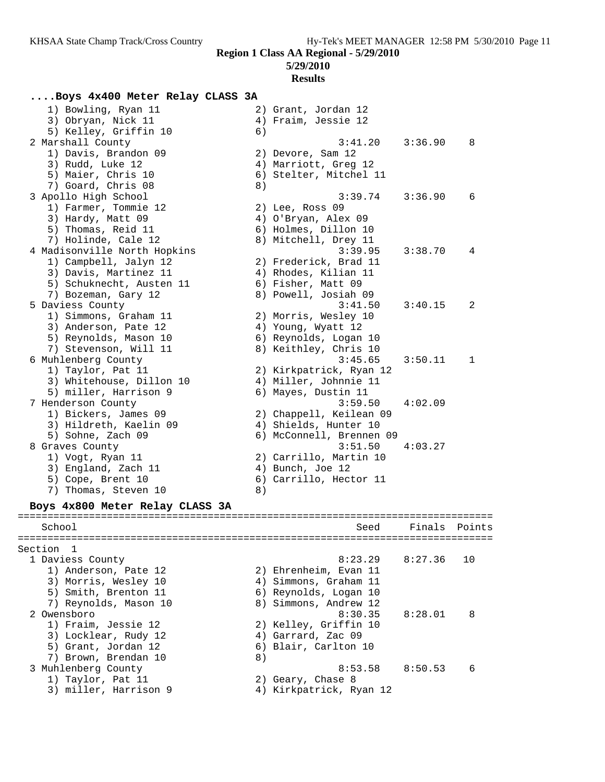# **Results**

# **....Boys 4x400 Meter Relay CLASS 3A**

| 1) Bowling, Ryan 11                         |    | 2) Grant, Jordan 12      |         |        |
|---------------------------------------------|----|--------------------------|---------|--------|
| 3) Obryan, Nick 11                          |    | 4) Fraim, Jessie 12      |         |        |
| 5) Kelley, Griffin 10                       | 6) |                          |         |        |
| 2 Marshall County                           |    | 3:41.20                  | 3:36.90 | 8      |
| 1) Davis, Brandon 09                        |    | 2) Devore, Sam 12        |         |        |
| 3) Rudd, Luke 12                            |    | 4) Marriott, Greg 12     |         |        |
| 5) Maier, Chris 10                          |    | 6) Stelter, Mitchel 11   |         |        |
| 7) Goard, Chris 08                          | 8) |                          |         |        |
| 3 Apollo High School                        |    | 3:39.74                  | 3:36.90 | 6      |
| 1) Farmer, Tommie 12                        |    | 2) Lee, Ross 09          |         |        |
| 3) Hardy, Matt 09                           |    | 4) O'Bryan, Alex 09      |         |        |
| 5) Thomas, Reid 11                          |    | 6) Holmes, Dillon 10     |         |        |
|                                             |    | 8) Mitchell, Drey 11     |         |        |
| 7) Holinde, Cale 12                         |    |                          |         |        |
| 4 Madisonville North Hopkins                |    | 3:39.95                  | 3:38.70 | 4      |
| 1) Campbell, Jalyn 12                       |    | 2) Frederick, Brad 11    |         |        |
| 3) Davis, Martinez 11                       |    | 4) Rhodes, Kilian 11     |         |        |
| 5) Schuknecht, Austen 11                    |    | 6) Fisher, Matt 09       |         |        |
| 7) Bozeman, Gary 12                         |    | 8) Powell, Josiah 09     |         |        |
| 5 Daviess County                            |    | 3:41.50                  | 3:40.15 | 2      |
| 1) Simmons, Graham 11                       |    | 2) Morris, Wesley 10     |         |        |
| 3) Anderson, Pate 12                        |    | 4) Young, Wyatt 12       |         |        |
| 5) Reynolds, Mason 10                       |    | 6) Reynolds, Logan 10    |         |        |
| 7) Stevenson, Will 11                       |    | 8) Keithley, Chris 10    |         |        |
| 6 Muhlenberg County                         |    | 3:45.65                  | 3:50.11 | 1      |
| 1) Taylor, Pat 11                           |    | 2) Kirkpatrick, Ryan 12  |         |        |
| 3) Whitehouse, Dillon 10                    |    | 4) Miller, Johnnie 11    |         |        |
| 5) miller, Harrison 9                       |    | 6) Mayes, Dustin 11      |         |        |
| 7 Henderson County                          |    | 3:59.50                  | 4:02.09 |        |
| 1) Bickers, James 09                        |    | 2) Chappell, Keilean 09  |         |        |
| 3) Hildreth, Kaelin 09                      |    | 4) Shields, Hunter 10    |         |        |
| 5) Sohne, Zach 09                           |    | 6) McConnell, Brennen 09 |         |        |
| 8 Graves County                             |    | 3:51.50                  | 4:03.27 |        |
| 1) Vogt, Ryan 11                            |    | 2) Carrillo, Martin 10   |         |        |
| 3) England, Zach 11                         |    | 4) Bunch, Joe 12         |         |        |
| 5) Cope, Brent 10                           |    | 6) Carrillo, Hector 11   |         |        |
| 7) Thomas, Steven 10                        | 8) |                          |         |        |
|                                             |    |                          |         |        |
| Boys 4x800 Meter Relay CLASS 3A             |    |                          |         |        |
| School                                      |    |                          | Finals  | Points |
|                                             |    | Seed                     |         |        |
| Section 1                                   |    |                          |         |        |
| 1 Daviess County                            |    | 8:23.29                  | 8:27.36 | 10     |
| 1) Anderson, Pate 12                        |    | 2) Ehrenheim, Evan 11    |         |        |
| 3) Morris, Wesley 10                        |    | 4) Simmons, Graham 11    |         |        |
| 5) Smith, Brenton 11                        |    | 6) Reynolds, Logan 10    |         |        |
| 7) Reynolds, Mason 10                       |    | 8) Simmons, Andrew 12    |         |        |
| 2 Owensboro                                 |    | 8:30.35                  | 8:28.01 | 8      |
| 1) Fraim, Jessie 12                         |    | 2) Kelley, Griffin 10    |         |        |
|                                             |    | 4) Garrard, Zac 09       |         |        |
| 3) Locklear, Rudy 12<br>5) Grant, Jordan 12 |    | 6) Blair, Carlton 10     |         |        |
|                                             |    |                          |         |        |
| 7) Brown, Brendan 10                        | 8) |                          |         |        |
| 3 Muhlenberg County                         |    | 8:53.58                  | 8:50.53 | 6      |
| 1) Taylor, Pat 11                           |    | 2) Geary, Chase 8        |         |        |
| 3) miller, Harrison 9                       |    | 4) Kirkpatrick, Ryan 12  |         |        |